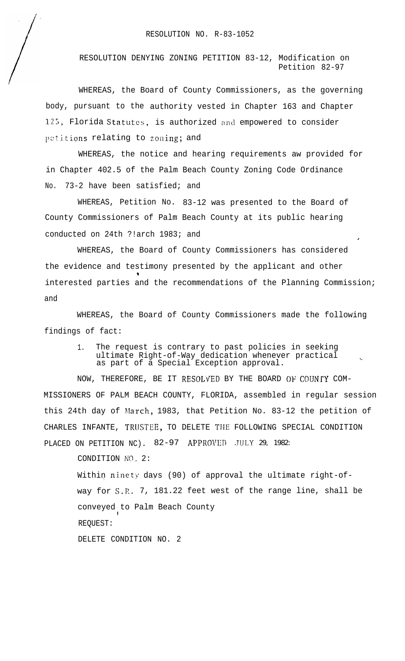## RESOLUTION NO. R-83-1052

RESOLUTION DENYING ZONING PETITION 83-12, Modification on Petition 82-97

WHEREAS, the Board of County Commissioners, as the governing body, pursuant to the authority vested in Chapter 163 and Chapter **125,** Florida Statutes, is authorized and empowered to consider petitions relating to zoning; and

WHEREAS, the notice and hearing requirements aw provided for in Chapter 402.5 of the Palm Beach County Zoning Code Ordinance No. 73-2 have been satisfied; and

WHEREAS, Petition No. 83-12 was presented to the Board of County Commissioners of Palm Beach County at its public hearing conducted on 24th ?!arch 1983; and

WHEREAS, the Board of County Commissioners has considered the evidence and testimony presented by the applicant and other  $\overline{\phantom{a}}$ interested parties and the recommendations of the Planning Commission; and

WHEREAS, the Board of County Commissioners made the following findings of fact:

> 1. The request is contrary to past policies in seeking ultimate Right-of-Way dedication whenever practical \_ as part of a Special Exception approval.

NOW, THEREFORE, BE IT RESOLVED BY THE BOARD OF COUNTY COM-MISSIONERS OF PALM BEACH COUNTY, FLORIDA, assembled in regular session this 24th day of March, 1983, that Petition No. 83-12 the petition of CHARLES INFANTE, TRUSTEE, TO DELETE THE FOLLOWING SPECIAL CONDITION PLACED ON PETITION NC). 82-97 APPROVED JULY 29, 1982:

CONDITION NO. 2:

Within ninety days (90) of approval the ultimate right-ofway for S.P.. 7, 181.22 feet west of the range line, shall be conveyed to Palm Beach County ! REQUEST: DELETE CONDITION NO. 2